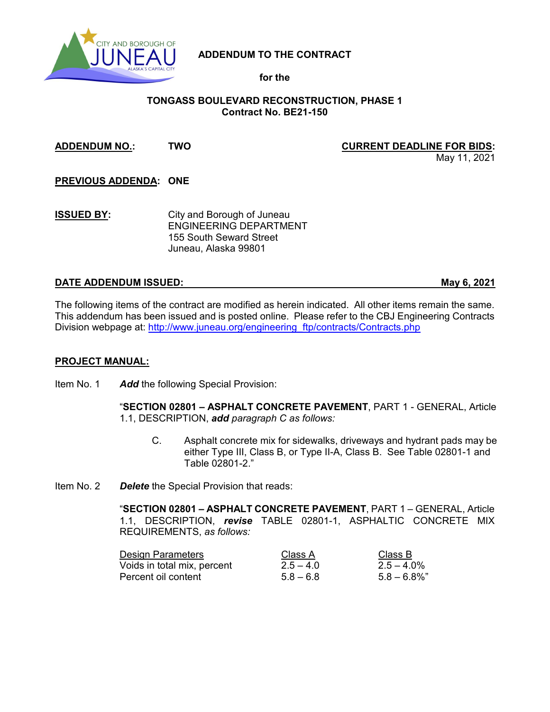

# **ADDENDUM TO THE CONTRACT**

## **for the**

## **TONGASS BOULEVARD RECONSTRUCTION, PHASE 1 Contract No. BE21-150**

#### **ADDENDUM NO.: TWO CURRENT DEADLINE FOR BIDS:**

May 11, 2021

**PREVIOUS ADDENDA: ONE**

**ISSUED BY:** City and Borough of Juneau ENGINEERING DEPARTMENT 155 South Seward Street Juneau, Alaska 99801

### **DATE ADDENDUM ISSUED: May 6, 2021**

The following items of the contract are modified as herein indicated. All other items remain the same. This addendum has been issued and is posted online. Please refer to the CBJ Engineering Contracts Division webpage at: [http://www.juneau.org/engineering\\_ftp/contracts/Contracts.php](http://www.juneau.org/engineering_ftp/contracts/Contracts.php) 

#### **PROJECT MANUAL:**

Item No. 1 *Add* the following Special Provision:

"**SECTION 02801 – ASPHALT CONCRETE PAVEMENT**, PART 1 - GENERAL, Article 1.1, DESCRIPTION, *add paragraph C as follows:*

- C. Asphalt concrete mix for sidewalks, driveways and hydrant pads may be either Type III, Class B, or Type II-A, Class B. See Table 02801-1 and Table 02801-2."
- Item No. 2 *Delete* the Special Provision that reads:

"**SECTION 02801 – ASPHALT CONCRETE PAVEMENT**, PART 1 – GENERAL, Article 1.1, DESCRIPTION, *revise* TABLE 02801-1, ASPHALTIC CONCRETE MIX REQUIREMENTS, *as follows:*

| <b>Design Parameters</b>    | Class A     | Class B         |
|-----------------------------|-------------|-----------------|
| Voids in total mix, percent | $2.5 - 4.0$ | $2.5 - 4.0\%$   |
| Percent oil content         | $5.8 - 6.8$ | $5.8 - 6.8\%$ " |